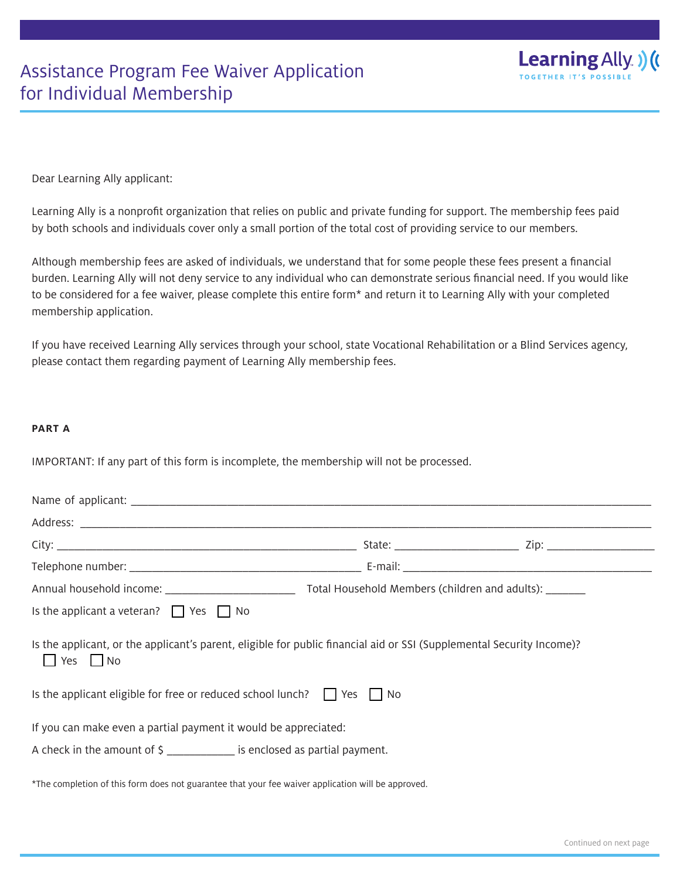

Dear Learning Ally applicant:

Learning Ally is a nonprofit organization that relies on public and private funding for support. The membership fees paid by both schools and individuals cover only a small portion of the total cost of providing service to our members.

Although membership fees are asked of individuals, we understand that for some people these fees present a financial burden. Learning Ally will not deny service to any individual who can demonstrate serious financial need. If you would like to be considered for a fee waiver, please complete this entire form\* and return it to Learning Ally with your completed membership application.

If you have received Learning Ally services through your school, state Vocational Rehabilitation or a Blind Services agency, please contact them regarding payment of Learning Ally membership fees.

## **PART A**

IMPORTANT: If any part of this form is incomplete, the membership will not be processed.

| Is the applicant a veteran? $\Box$ Yes $\Box$ No                                                                                              |  |  |  |  |
|-----------------------------------------------------------------------------------------------------------------------------------------------|--|--|--|--|
| Is the applicant, or the applicant's parent, eligible for public financial aid or SSI (Supplemental Security Income)?<br>$\Box$ Yes $\Box$ No |  |  |  |  |
| Is the applicant eligible for free or reduced school lunch? $\Box$ Yes $\Box$ No                                                              |  |  |  |  |
| If you can make even a partial payment it would be appreciated:                                                                               |  |  |  |  |
| A check in the amount of \$                                                                                                                   |  |  |  |  |
| *The completion of this form does not guarantee that your fee waiver application will be approved.                                            |  |  |  |  |